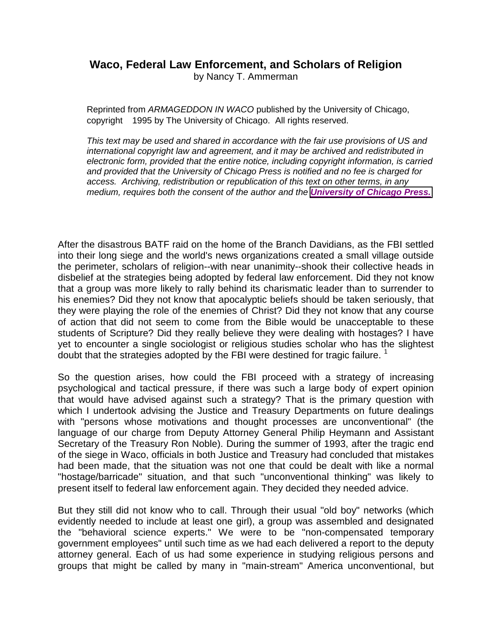# **Waco, Federal Law Enforcement, and Scholars of Religion**

by Nancy T. Ammerman

Reprinted from *ARMAGEDDON IN WACO* published by the University of Chicago, copyright© 1995 by The University of Chicago. All rights reserved.

*This text may be used and shared in accordance with the fair use provisions of US and international copyright law and agreement, and it may be archived and redistributed in electronic form, provided that the entire notice, including copyright information, is carried and provided that the University of Chicago Press is notified and no fee is charged for access. Archiving, redistribution or republication of this text on other terms, in any medium, requires both the consent of the author and the [University of Chicago Press.](http://www.press.uchicago.edu/)*

After the disastrous BATF raid on the home of the Branch Davidians, as the FBI settled into their long siege and the world's news organizations created a small village outside the perimeter, scholars of religion--with near unanimity--shook their collective heads in disbelief at the strategies being adopted by federal law enforcement. Did they not know that a group was more likely to rally behind its charismatic leader than to surrender to his enemies? Did they not know that apocalyptic beliefs should be taken seriously, that they were playing the role of the enemies of Christ? Did they not know that any course of action that did not seem to come from the Bible would be unacceptable to these students of Scripture? Did they really believe they were dealing with hostages? I have yet to encounter a single sociologist or religious studies scholar who has the slightest doubt that the strategies adopted by the FBI were destined for tragic failure.<sup>1</sup>

So the question arises, how could the FBI proceed with a strategy of increasing psychological and tactical pressure, if there was such a large body of expert opinion that would have advised against such a strategy? That is the primary question with which I undertook advising the Justice and Treasury Departments on future dealings with "persons whose motivations and thought processes are unconventional" (the language of our charge from Deputy Attorney General Philip Heymann and Assistant Secretary of the Treasury Ron Noble). During the summer of 1993, after the tragic end of the siege in Waco, officials in both Justice and Treasury had concluded that mistakes had been made, that the situation was not one that could be dealt with like a normal "hostage/barricade" situation, and that such "unconventional thinking" was likely to present itself to federal law enforcement again. They decided they needed advice.

But they still did not know who to call. Through their usual "old boy" networks (which evidently needed to include at least one girl), a group was assembled and designated the "behavioral science experts." We were to be "non-compensated temporary government employees" until such time as we had each delivered a report to the deputy attorney general. Each of us had some experience in studying religious persons and groups that might be called by many in "main-stream" America unconventional, but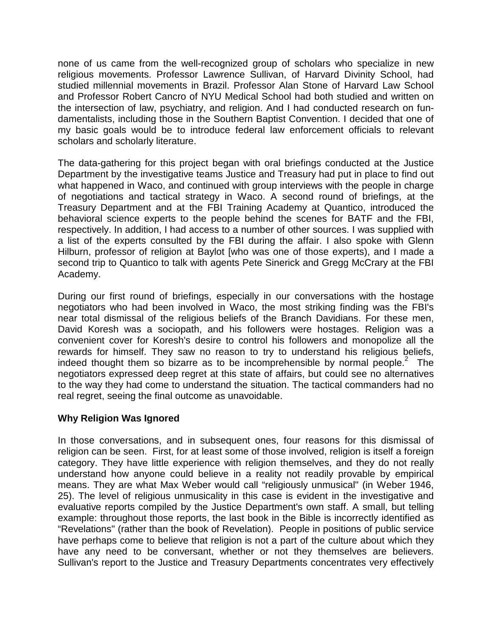none of us came from the well-recognized group of scholars who specialize in new religious movements. Professor Lawrence Sullivan, of Harvard Divinity School, had studied millennial movements in Brazil. Professor Alan Stone of Harvard Law School and Professor Robert Cancro of NYU Medical School had both studied and written on the intersection of law, psychiatry, and religion. And I had conducted research on fundamentalists, including those in the Southern Baptist Convention. I decided that one of my basic goals would be to introduce federal law enforcement officials to relevant scholars and scholarly literature.

The data-gathering for this project began with oral briefings conducted at the Justice Department by the investigative teams Justice and Treasury had put in place to find out what happened in Waco, and continued with group interviews with the people in charge of negotiations and tactical strategy in Waco. A second round of briefings, at the Treasury Department and at the FBI Training Academy at Quantico, introduced the behavioral science experts to the people behind the scenes for BATF and the FBI, respectively. In addition, I had access to a number of other sources. I was supplied with a list of the experts consulted by the FBI during the affair. I also spoke with Glenn Hilburn, professor of religion at Baylot [who was one of those experts), and I made a second trip to Quantico to talk with agents Pete Sinerick and Gregg McCrary at the FBI Academy.

During our first round of briefings, especially in our conversations with the hostage negotiators who had been involved in Waco, the most striking finding was the FBI's near total dismissal of the religious beliefs of the Branch Davidians. For these men, David Koresh was a sociopath, and his followers were hostages. Religion was a convenient cover for Koresh's desire to control his followers and monopolize all the rewards for himself. They saw no reason to try to understand his religious beliefs, indeed thought them so bizarre as to be incomprehensible by normal people.<sup>2</sup> The negotiators expressed deep regret at this state of affairs, but could see no alternatives to the way they had come to understand the situation. The tactical commanders had no real regret, seeing the final outcome as unavoidable.

## **Why Religion Was Ignored**

In those conversations, and in subsequent ones, four reasons for this dismissal of religion can be seen. First, for at least some of those involved, religion is itself a foreign category. They have little experience with religion themselves, and they do not really understand how anyone could believe in a reality not readily provable by empirical means. They are what Max Weber would call "religiously unmusical" (in Weber 1946, 25). The level of religious unmusicality in this case is evident in the investigative and evaluative reports compiled by the Justice Department's own staff. A small, but telling example: throughout those reports, the last book in the Bible is incorrectly identified as "Revelations" (rather than the book of Revelation). People in positions of public service have perhaps come to believe that religion is not a part of the culture about which they have any need to be conversant, whether or not they themselves are believers. Sullivan's report to the Justice and Treasury Departments concentrates very effectively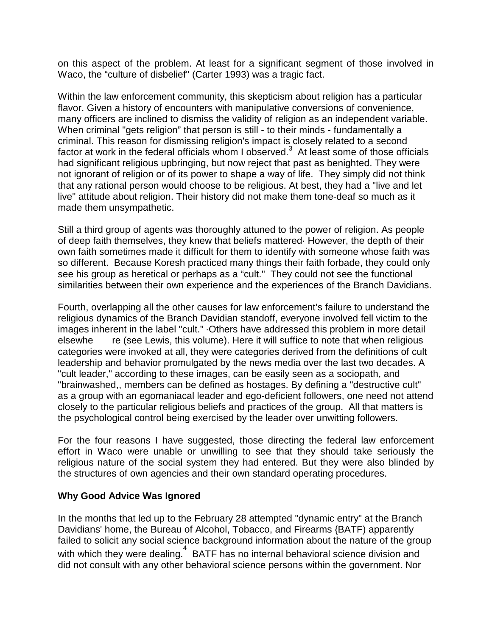on this aspect of the problem. At least for a significant segment of those involved in Waco, the "culture of disbelief" (Carter 1993) was a tragic fact.

Within the law enforcement community, this skepticism about religion has a particular flavor. Given a history of encounters with manipulative conversions of convenience, many officers are inclined to dismiss the validity of religion as an independent variable. When criminal "gets religion" that person is still - to their minds - fundamentally a criminal. This reason for dismissing religion's impact is closely related to a second factor at work in the federal officials whom I observed. $3$  At least some of those officials had significant religious upbringing, but now reject that past as benighted. They were not ignorant of religion or of its power to shape a way of life. They simply did not think that any rational person would choose to be religious. At best, they had a "live and let live" attitude about religion. Their history did not make them tone-deaf so much as it made them unsympathetic.

Still a third group of agents was thoroughly attuned to the power of religion. As people of deep faith themselves, they knew that beliefs mattered· However, the depth of their own faith sometimes made it difficult for them to identify with someone whose faith was so different. Because Koresh practiced many things their faith forbade, they could only see his group as heretical or perhaps as a "cult." They could not see the functional similarities between their own experience and the experiences of the Branch Davidians.

Fourth, overlapping all the other causes for law enforcement's failure to understand the religious dynamics of the Branch Davidian standoff, everyone involved fell victim to the images inherent in the label "cult." ·Others have addressed this problem in more detail elsewhe re (see Lewis, this volume). Here it will suffice to note that when religious categories were invoked at all, they were categories derived from the definitions of cult leadership and behavior promulgated by the news media over the last two decades. A "cult leader," according to these images, can be easily seen as a sociopath, and "brainwashed,, members can be defined as hostages. By defining a "destructive cult" as a group with an egomaniacal leader and ego-deficient followers, one need not attend closely to the particular religious beliefs and practices of the group. All that matters is the psychological control being exercised by the leader over unwitting followers.

For the four reasons I have suggested, those directing the federal law enforcement effort in Waco were unable or unwilling to see that they should take seriously the religious nature of the social system they had entered. But they were also blinded by the structures of own agencies and their own standard operating procedures.

## **Why Good Advice Was Ignored**

In the months that led up to the February 28 attempted "dynamic entry" at the Branch Davidians' home, the Bureau of Alcohol, Tobacco, and Firearms {BATF) apparently failed to solicit any social science background information about the nature of the group with which they were dealing.<sup>4</sup> BATF has no internal behavioral science division and did not consult with any other behavioral science persons within the government. Nor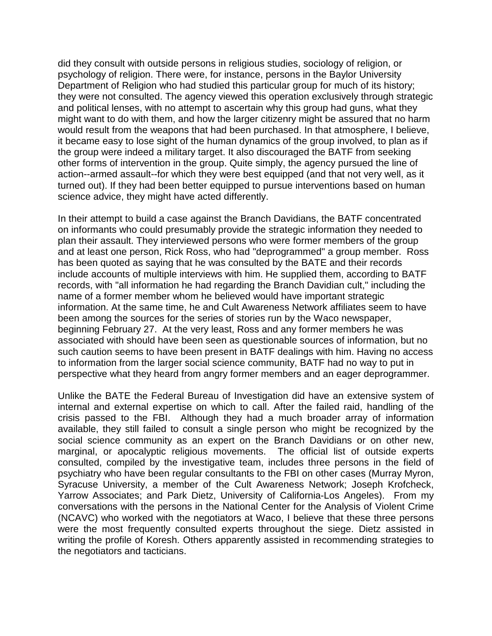did they consult with outside persons in religious studies, sociology of religion, or psychology of religion. There were, for instance, persons in the Baylor University Department of Religion who had studied this particular group for much of its history; they were not consulted. The agency viewed this operation exclusively through strategic and political lenses, with no attempt to ascertain why this group had guns, what they might want to do with them, and how the larger citizenry might be assured that no harm would result from the weapons that had been purchased. In that atmosphere, I believe, it became easy to lose sight of the human dynamics of the group involved, to plan as if the group were indeed a military target. It also discouraged the BATF from seeking other forms of intervention in the group. Quite simply, the agency pursued the line of action--armed assault--for which they were best equipped (and that not very well, as it turned out). If they had been better equipped to pursue interventions based on human science advice, they might have acted differently.

In their attempt to build a case against the Branch Davidians, the BATF concentrated on informants who could presumably provide the strategic information they needed to plan their assault. They interviewed persons who were former members of the group and at least one person, Rick Ross, who had "deprogrammed" a group member. Ross has been quoted as saying that he was consulted by the BATE and their records include accounts of multiple interviews with him. He supplied them, according to BATF records, with "all information he had regarding the Branch Davidian cult," including the name of a former member whom he believed would have important strategic information. At the same time, he and Cult Awareness Network affiliates seem to have been among the sources for the series of stories run by the Waco newspaper, beginning February 27. At the very least, Ross and any former members he was associated with should have been seen as questionable sources of information, but no such caution seems to have been present in BATF dealings with him. Having no access to information from the larger social science community, BATF had no way to put in perspective what they heard from angry former members and an eager deprogrammer.

Unlike the BATE the Federal Bureau of Investigation did have an extensive system of internal and external expertise on which to call. After the failed raid, handling of the crisis passed to the FBI. Although they had a much broader array of information available, they still failed to consult a single person who might be recognized by the social science community as an expert on the Branch Davidians or on other new, marginal, or apocalyptic religious movements. The official list of outside experts consulted, compiled by the investigative team, includes three persons in the field of psychiatry who have been regular consultants to the FBI on other cases (Murray Myron, Syracuse University, a member of the Cult Awareness Network; Joseph Krofcheck, Yarrow Associates; and Park Dietz, University of California-Los Angeles). From my conversations with the persons in the National Center for the Analysis of Violent Crime (NCAVC) who worked with the negotiators at Waco, I believe that these three persons were the most frequently consulted experts throughout the siege. Dietz assisted in writing the profile of Koresh. Others apparently assisted in recommending strategies to the negotiators and tacticians.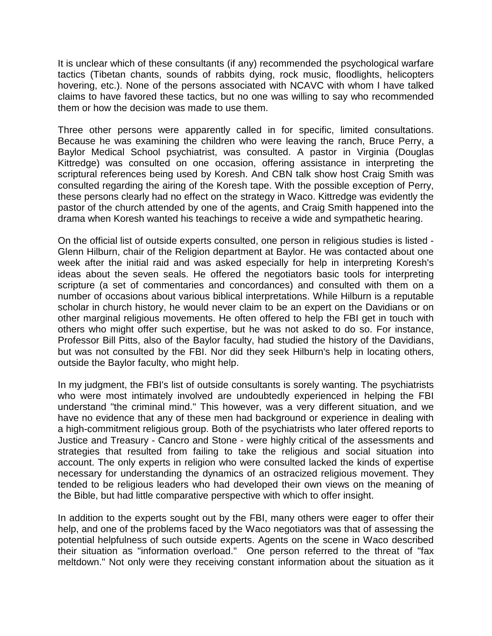It is unclear which of these consultants (if any) recommended the psychological warfare tactics (Tibetan chants, sounds of rabbits dying, rock music, floodlights, helicopters hovering, etc.). None of the persons associated with NCAVC with whom I have talked claims to have favored these tactics, but no one was willing to say who recommended them or how the decision was made to use them.

Three other persons were apparently called in for specific, limited consultations. Because he was examining the children who were leaving the ranch, Bruce Perry, a Baylor Medical School psychiatrist, was consulted. A pastor in Virginia (Douglas Kittredge) was consulted on one occasion, offering assistance in interpreting the scriptural references being used by Koresh. And CBN talk show host Craig Smith was consulted regarding the airing of the Koresh tape. With the possible exception of Perry, these persons clearly had no effect on the strategy in Waco. Kittredge was evidently the pastor of the church attended by one of the agents, and Craig Smith happened into the drama when Koresh wanted his teachings to receive a wide and sympathetic hearing.

On the official list of outside experts consulted, one person in religious studies is listed - Glenn Hilburn, chair of the Religion department at Baylor. He was contacted about one week after the initial raid and was asked especially for help in interpreting Koresh's ideas about the seven seals. He offered the negotiators basic tools for interpreting scripture (a set of commentaries and concordances) and consulted with them on a number of occasions about various biblical interpretations. While Hilburn is a reputable scholar in church history, he would never claim to be an expert on the Davidians or on other marginal religious movements. He often offered to help the FBI get in touch with others who might offer such expertise, but he was not asked to do so. For instance, Professor Bill Pitts, also of the Baylor faculty, had studied the history of the Davidians, but was not consulted by the FBI. Nor did they seek Hilburn's help in locating others, outside the Baylor faculty, who might help.

In my judgment, the FBI's list of outside consultants is sorely wanting. The psychiatrists who were most intimately involved are undoubtedly experienced in helping the FBI understand "the criminal mind." This however, was a very different situation, and we have no evidence that any of these men had background or experience in dealing with a high-commitment religious group. Both of the psychiatrists who later offered reports to Justice and Treasury - Cancro and Stone - were highly critical of the assessments and strategies that resulted from failing to take the religious and social situation into account. The only experts in religion who were consulted lacked the kinds of expertise necessary for understanding the dynamics of an ostracized religious movement. They tended to be religious leaders who had developed their own views on the meaning of the Bible, but had little comparative perspective with which to offer insight.

In addition to the experts sought out by the FBI, many others were eager to offer their help, and one of the problems faced by the Waco negotiators was that of assessing the potential helpfulness of such outside experts. Agents on the scene in Waco described their situation as "information overload." One person referred to the threat of "fax meltdown." Not only were they receiving constant information about the situation as it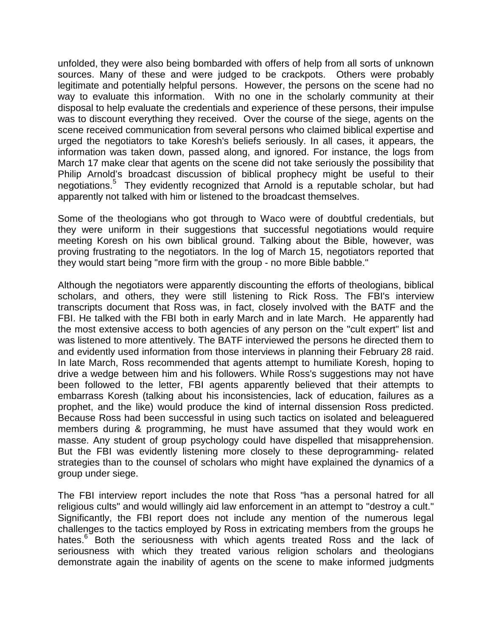unfolded, they were also being bombarded with offers of help from all sorts of unknown sources. Many of these and were judged to be crackpots. Others were probably legitimate and potentially helpful persons. However, the persons on the scene had no way to evaluate this information. With no one in the scholarly community at their disposal to help evaluate the credentials and experience of these persons, their impulse was to discount everything they received. Over the course of the siege, agents on the scene received communication from several persons who claimed biblical expertise and urged the negotiators to take Koresh's beliefs seriously. In all cases, it appears, the information was taken down, passed along, and ignored. For instance, the logs from March 17 make clear that agents on the scene did not take seriously the possibility that Philip Arnold's broadcast discussion of biblical prophecy might be useful to their negotiations.<sup>5</sup> They evidently recognized that Arnold is a reputable scholar, but had apparently not talked with him or listened to the broadcast themselves.

Some of the theologians who got through to Waco were of doubtful credentials, but they were uniform in their suggestions that successful negotiations would require meeting Koresh on his own biblical ground. Talking about the Bible, however, was proving frustrating to the negotiators. In the log of March 15, negotiators reported that they would start being "more firm with the group - no more Bible babble."

Although the negotiators were apparently discounting the efforts of theologians, biblical scholars, and others, they were still listening to Rick Ross. The FBI's interview transcripts document that Ross was, in fact, closely involved with the BATF and the FBI. He talked with the FBI both in early March and in late March. He apparently had the most extensive access to both agencies of any person on the "cult expert" list and was listened to more attentively. The BATF interviewed the persons he directed them to and evidently used information from those interviews in planning their February 28 raid. In late March, Ross recommended that agents attempt to humiliate Koresh, hoping to drive a wedge between him and his followers. While Ross's suggestions may not have been followed to the letter, FBI agents apparently believed that their attempts to embarrass Koresh (talking about his inconsistencies, lack of education, failures as a prophet, and the like) would produce the kind of internal dissension Ross predicted. Because Ross had been successful in using such tactics on isolated and beleaguered members during & programming, he must have assumed that they would work en masse. Any student of group psychology could have dispelled that misapprehension. But the FBI was evidently listening more closely to these deprogramming- related strategies than to the counsel of scholars who might have explained the dynamics of a group under siege.

The FBI interview report includes the note that Ross "has a personal hatred for all religious cults" and would willingly aid law enforcement in an attempt to "destroy a cult." Significantly, the FBI report does not include any mention of the numerous legal challenges to the tactics employed by Ross in extricating members from the groups he hates.<sup>6</sup> Both the seriousness with which agents treated Ross and the lack of seriousness with which they treated various religion scholars and theologians demonstrate again the inability of agents on the scene to make informed judgments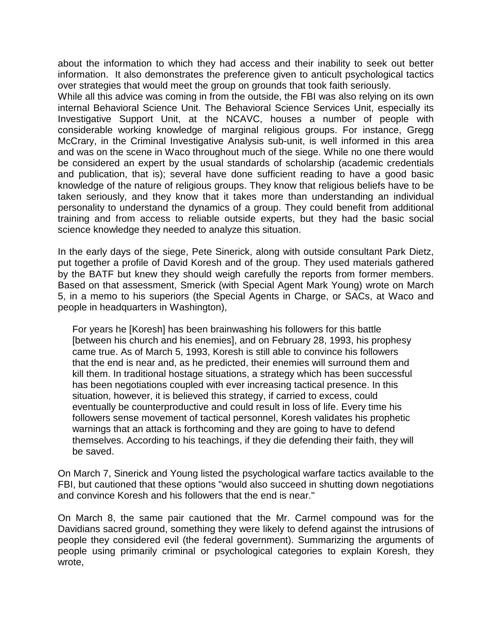about the information to which they had access and their inability to seek out better information. It also demonstrates the preference given to anticult psychological tactics over strategies that would meet the group on grounds that took faith seriously.

While all this advice was coming in from the outside, the FBI was also relying on its own internal Behavioral Science Unit. The Behavioral Science Services Unit, especially its Investigative Support Unit, at the NCAVC, houses a number of people with considerable working knowledge of marginal religious groups. For instance, Gregg McCrary, in the Criminal Investigative Analysis sub-unit, is well informed in this area and was on the scene in Waco throughout much of the siege. While no one there would be considered an expert by the usual standards of scholarship (academic credentials and publication, that is); several have done sufficient reading to have a good basic knowledge of the nature of religious groups. They know that religious beliefs have to be taken seriously, and they know that it takes more than understanding an individual personality to understand the dynamics of a group. They could benefit from additional training and from access to reliable outside experts, but they had the basic social science knowledge they needed to analyze this situation.

In the early days of the siege, Pete Sinerick, along with outside consultant Park Dietz, put together a profile of David Koresh and of the group. They used materials gathered by the BATF but knew they should weigh carefully the reports from former members. Based on that assessment, Smerick (with Special Agent Mark Young) wrote on March 5, in a memo to his superiors (the Special Agents in Charge, or SACs, at Waco and people in headquarters in Washington),

For years he [Koresh] has been brainwashing his followers for this battle [between his church and his enemies], and on February 28, 1993, his prophesy came true. As of March 5, 1993, Koresh is still able to convince his followers that the end is near and, as he predicted, their enemies will surround them and kill them. In traditional hostage situations, a strategy which has been successful has been negotiations coupled with ever increasing tactical presence. In this situation, however, it is believed this strategy, if carried to excess, could eventually be counterproductive and could result in loss of life. Every time his followers sense movement of tactical personnel, Koresh validates his prophetic warnings that an attack is forthcoming and they are going to have to defend themselves. According to his teachings, if they die defending their faith, they will be saved.

On March 7, Sinerick and Young listed the psychological warfare tactics available to the FBI, but cautioned that these options "would also succeed in shutting down negotiations and convince Koresh and his followers that the end is near."

On March 8, the same pair cautioned that the Mr. Carmel compound was for the Davidians sacred ground, something they were likely to defend against the intrusions of people they considered evil (the federal government). Summarizing the arguments of people using primarily criminal or psychological categories to explain Koresh, they wrote,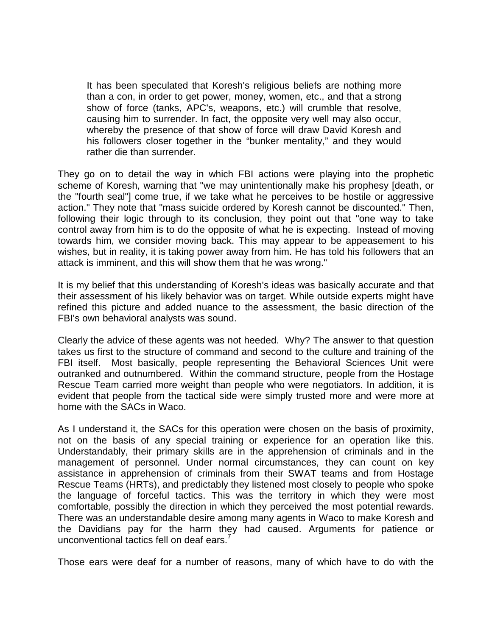It has been speculated that Koresh's religious beliefs are nothing more than a con, in order to get power, money, women, etc., and that a strong show of force (tanks, APC's, weapons, etc.) will crumble that resolve, causing him to surrender. In fact, the opposite very well may also occur, whereby the presence of that show of force will draw David Koresh and his followers closer together in the "bunker mentality," and they would rather die than surrender.

They go on to detail the way in which FBI actions were playing into the prophetic scheme of Koresh, warning that "we may unintentionally make his prophesy [death, or the "fourth seal"] come true, if we take what he perceives to be hostile or aggressive action." They note that "mass suicide ordered by Koresh cannot be discounted." Then, following their logic through to its conclusion, they point out that "one way to take control away from him is to do the opposite of what he is expecting. Instead of moving towards him, we consider moving back. This may appear to be appeasement to his wishes, but in reality, it is taking power away from him. He has told his followers that an attack is imminent, and this will show them that he was wrong."

It is my belief that this understanding of Koresh's ideas was basically accurate and that their assessment of his likely behavior was on target. While outside experts might have refined this picture and added nuance to the assessment, the basic direction of the FBI's own behavioral analysts was sound.

Clearly the advice of these agents was not heeded. Why? The answer to that question takes us first to the structure of command and second to the culture and training of the FBI itself. Most basically, people representing the Behavioral Sciences Unit were outranked and outnumbered. Within the command structure, people from the Hostage Rescue Team carried more weight than people who were negotiators. In addition, it is evident that people from the tactical side were simply trusted more and were more at home with the SACs in Waco.

As I understand it, the SACs for this operation were chosen on the basis of proximity, not on the basis of any special training or experience for an operation like this. Understandably, their primary skills are in the apprehension of criminals and in the management of personnel. Under normal circumstances, they can count on key assistance in apprehension of criminals from their SWAT teams and from Hostage Rescue Teams (HRTs), and predictably they listened most closely to people who spoke the language of forceful tactics. This was the territory in which they were most comfortable, possibly the direction in which they perceived the most potential rewards. There was an understandable desire among many agents in Waco to make Koresh and the Davidians pay for the harm they had caused. Arguments for patience or unconventional tactics fell on deaf ears.<sup>7</sup>

Those ears were deaf for a number of reasons, many of which have to do with the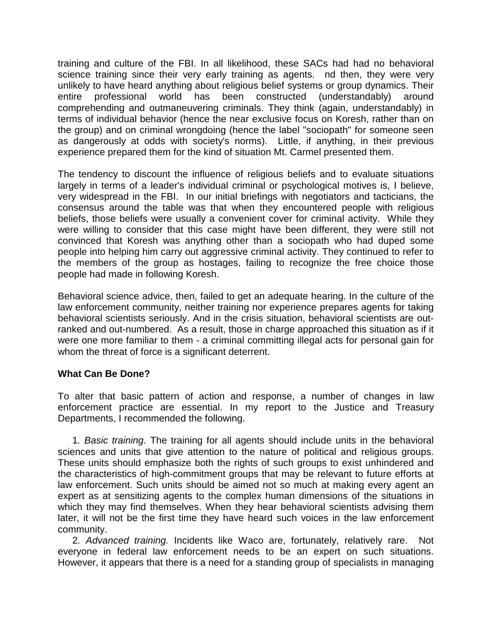training and culture of the FBI. In all likelihood, these SACs had had no behavioral science training since their very early training as agents. nd then, they were very unlikely to have heard anything about religious belief systems or group dynamics. Their entire professional world has been constructed (understandably) around comprehending and outmaneuvering criminals. They think (again, understandably) in terms of individual behavior (hence the near exclusive focus on Koresh, rather than on the group) and on criminal wrongdoing (hence the label "sociopath" for someone seen as dangerously at odds with society's norms). Little, if anything, in their previous experience prepared them for the kind of situation Mt. Carmel presented them.

The tendency to discount the influence of religious beliefs and to evaluate situations largely in terms of a leader's individual criminal or psychological motives is, I believe, very widespread in the FBI. In our initial briefings with negotiators and tacticians, the consensus around the table was that when they encountered people with religious beliefs, those beliefs were usually a convenient cover for criminal activity. While they were willing to consider that this case might have been different, they were still not convinced that Koresh was anything other than a sociopath who had duped some people into helping him carry out aggressive criminal activity. They continued to refer to the members of the group as hostages, failing to recognize the free choice those people had made in following Koresh.

Behavioral science advice, then, failed to get an adequate hearing. In the culture of the law enforcement community, neither training nor experience prepares agents for taking behavioral scientists seriously. And in the crisis situation, behavioral scientists are outranked and out-numbered. As a result, those in charge approached this situation as if it were one more familiar to them - a criminal committing illegal acts for personal gain for whom the threat of force is a significant deterrent.

## **What Can Be Done?**

To alter that basic pattern of action and response, a number of changes in law enforcement practice are essential. In my report to the Justice and Treasury Departments, I recommended the following.

1*. Basic training.* The training for all agents should include units in the behavioral sciences and units that give attention to the nature of political and religious groups. These units should emphasize both the rights of such groups to exist unhindered and the characteristics of high-commitment groups that may be relevant to future efforts at law enforcement. Such units should be aimed not so much at making every agent an expert as at sensitizing agents to the complex human dimensions of the situations in which they may find themselves. When they hear behavioral scientists advising them later, it will not be the first time they have heard such voices in the law enforcement community.

2*. Advanced training.* Incidents like Waco are, fortunately, relatively rare. Not everyone in federal law enforcement needs to be an expert on such situations. However, it appears that there is a need for a standing group of specialists in managing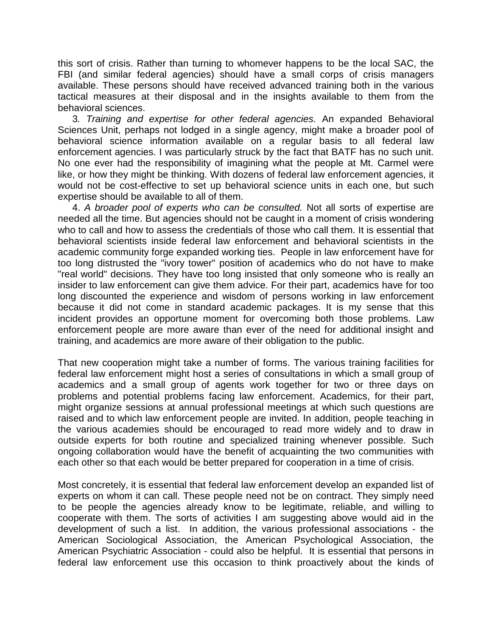this sort of crisis. Rather than turning to whomever happens to be the local SAC, the FBI (and similar federal agencies) should have a small corps of crisis managers available. These persons should have received advanced training both in the various tactical measures at their disposal and in the insights available to them from the behavioral sciences.

3*. Training and expertise for other federal agencies.* An expanded Behavioral Sciences Unit, perhaps not lodged in a single agency, might make a broader pool of behavioral science information available on a regular basis to all federal law enforcement agencies. I was particularly struck by the fact that BATF has no such unit. No one ever had the responsibility of imagining what the people at Mt. Carmel were like, or how they might be thinking. With dozens of federal law enforcement agencies, it would not be cost-effective to set up behavioral science units in each one, but such expertise should be available to all of them.

4. *A broader pool of experts who can be consulted.* Not all sorts of expertise are needed all the time. But agencies should not be caught in a moment of crisis wondering who to call and how to assess the credentials of those who call them. It is essential that behavioral scientists inside federal law enforcement and behavioral scientists in the academic community forge expanded working ties. People in law enforcement have for too long distrusted the "ivory tower" position of academics who do not have to make "real world" decisions. They have too long insisted that only someone who is really an insider to law enforcement can give them advice. For their part, academics have for too long discounted the experience and wisdom of persons working in law enforcement because it did not come in standard academic packages. It is my sense that this incident provides an opportune moment for overcoming both those problems. Law enforcement people are more aware than ever of the need for additional insight and training, and academics are more aware of their obligation to the public.

That new cooperation might take a number of forms. The various training facilities for federal law enforcement might host a series of consultations in which a small group of academics and a small group of agents work together for two or three days on problems and potential problems facing law enforcement. Academics, for their part, might organize sessions at annual professional meetings at which such questions are raised and to which law enforcement people are invited. In addition, people teaching in the various academies should be encouraged to read more widely and to draw in outside experts for both routine and specialized training whenever possible. Such ongoing collaboration would have the benefit of acquainting the two communities with each other so that each would be better prepared for cooperation in a time of crisis.

Most concretely, it is essential that federal law enforcement develop an expanded list of experts on whom it can call. These people need not be on contract. They simply need to be people the agencies already know to be legitimate, reliable, and willing to cooperate with them. The sorts of activities I am suggesting above would aid in the development of such a list. In addition, the various professional associations - the American Sociological Association, the American Psychological Association, the American Psychiatric Association - could also be helpful. It is essential that persons in federal law enforcement use this occasion to think proactively about the kinds of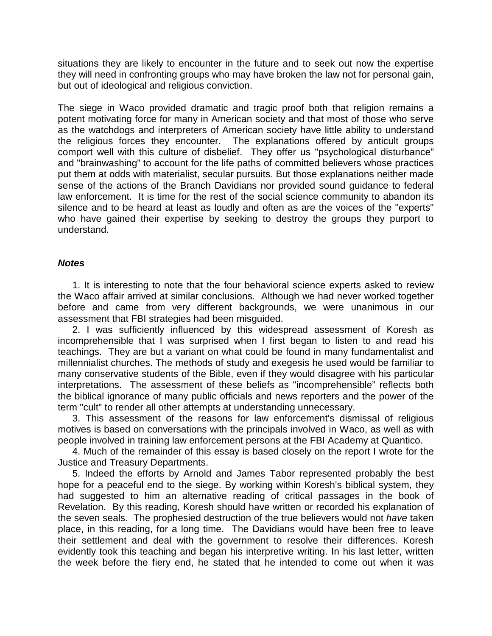situations they are likely to encounter in the future and to seek out now the expertise they will need in confronting groups who may have broken the law not for personal gain, but out of ideological and religious conviction.

The siege in Waco provided dramatic and tragic proof both that religion remains a potent motivating force for many in American society and that most of those who serve as the watchdogs and interpreters of American society have little ability to understand the religious forces they encounter. The explanations offered by anticult groups comport well with this culture of disbelief. They offer us "psychological disturbance" and "brainwashing" to account for the life paths of committed believers whose practices put them at odds with materialist, secular pursuits. But those explanations neither made sense of the actions of the Branch Davidians nor provided sound guidance to federal law enforcement. It is time for the rest of the social science community to abandon its silence and to be heard at least as loudly and often as are the voices of the "experts" who have gained their expertise by seeking to destroy the groups they purport to understand.

#### *Notes*

1. It is interesting to note that the four behavioral science experts asked to review the Waco affair arrived at similar conclusions. Although we had never worked together before and came from very different backgrounds, we were unanimous in our assessment that FBI strategies had been misguided.

2. I was sufficiently influenced by this widespread assessment of Koresh as incomprehensible that I was surprised when I first began to listen to and read his teachings. They are but a variant on what could be found in many fundamentalist and millennialist churches. The methods of study and exegesis he used would be familiar to many conservative students of the Bible, even if they would disagree with his particular interpretations. The assessment of these beliefs as "incomprehensible" reflects both the biblical ignorance of many public officials and news reporters and the power of the term "cult" to render all other attempts at understanding unnecessary.

3. This assessment of the reasons for law enforcement's dismissal of religious motives is based on conversations with the principals involved in Waco, as well as with people involved in training law enforcement persons at the FBI Academy at Quantico.

4. Much of the remainder of this essay is based closely on the report I wrote for the Justice and Treasury Departments.

5. Indeed the efforts by Arnold and James Tabor represented probably the best hope for a peaceful end to the siege. By working within Koresh's biblical system, they had suggested to him an alternative reading of critical passages in the book of Revelation. By this reading, Koresh should have written or recorded his explanation of the seven seals. The prophesied destruction of the true believers would not *have* taken place, in this reading, for a long time. The Davidians would have been free to leave their settlement and deal with the government to resolve their differences. Koresh evidently took this teaching and began his interpretive writing. In his last letter, written the week before the fiery end, he stated that he intended to come out when it was